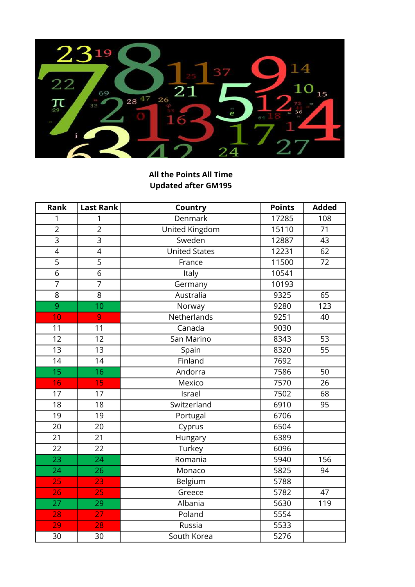

## All the Points All Time Updated after GM195

| Rank            | <b>Last Rank</b> | Country              | <b>Points</b> | <b>Added</b> |
|-----------------|------------------|----------------------|---------------|--------------|
| 1               | 1                | Denmark              | 17285         | 108          |
| $\overline{2}$  | $\overline{2}$   | United Kingdom       | 15110         | 71           |
| $\overline{3}$  | $\overline{3}$   | Sweden               | 12887         | 43           |
| $\overline{4}$  | $\overline{4}$   | <b>United States</b> | 12231         | 62           |
| $\overline{5}$  | $\overline{5}$   | France               | 11500         | 72           |
| $\overline{6}$  | $\overline{6}$   | Italy                | 10541         |              |
| $\overline{7}$  | $\overline{7}$   | Germany              | 10193         |              |
| $\overline{8}$  | $\overline{8}$   | Australia            | 9325          | 65           |
| $\overline{9}$  | 10               | Norway               | 9280          | 123          |
| 10              | 9                | Netherlands          | 9251          | 40           |
| 11              | 11               | Canada               | 9030          |              |
| 12              | 12               | San Marino           | 8343          | 53           |
| $\overline{13}$ | $\overline{13}$  | Spain                | 8320          | 55           |
| 14              | 14               | Finland              | 7692          |              |
| 15              | 16               | Andorra              | 7586          | 50           |
| 16              | 15               | Mexico               | 7570          | 26           |
| 17              | 17               | Israel               | 7502          | 68           |
| 18              | 18               | Switzerland          | 6910          | 95           |
| 19              | 19               | Portugal             | 6706          |              |
| 20              | 20               | Cyprus               | 6504          |              |
| 21              | 21               | Hungary              | 6389          |              |
| 22              | 22               | Turkey               | 6096          |              |
| $\overline{23}$ | 24               | Romania              | 5940          | 156          |
| 24              | 26               | Monaco               | 5825          | 94           |
| 25              | 23               | Belgium              | 5788          |              |
| 26              | 25               | Greece               | 5782          | 47           |
| 27              | $\overline{29}$  | Albania              | 5630          | 119          |
| 28              | 27               | Poland               | 5554          |              |
| 29              | 28               | Russia               | 5533          |              |
| 30              | 30               | South Korea          | 5276          |              |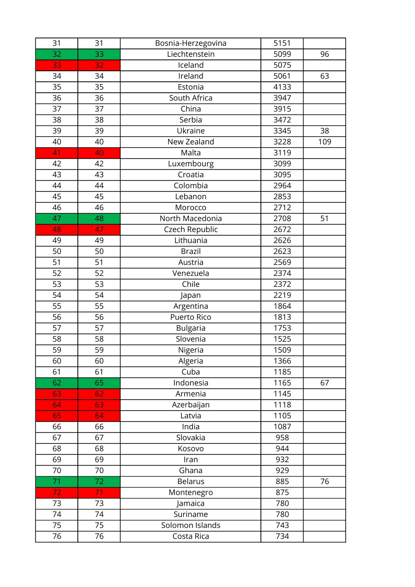| 31 | 31              | Bosnia-Herzegovina | 5151 |     |
|----|-----------------|--------------------|------|-----|
| 32 | 33              | Liechtenstein      | 5099 | 96  |
| 33 | 32              | Iceland            | 5075 |     |
| 34 | 34              | Ireland            | 5061 | 63  |
| 35 | 35              | Estonia            | 4133 |     |
| 36 | 36              | South Africa       | 3947 |     |
| 37 | 37              | China              | 3915 |     |
| 38 | 38              | Serbia             | 3472 |     |
| 39 | 39              | Ukraine            | 3345 | 38  |
| 40 | 40              | New Zealand        | 3228 | 109 |
| 41 | 40              | Malta              | 3119 |     |
| 42 | 42              | Luxembourg         | 3099 |     |
| 43 | 43              | Croatia            | 3095 |     |
| 44 | 44              | Colombia           | 2964 |     |
| 45 | 45              | Lebanon            | 2853 |     |
| 46 | 46              | Morocco            | 2712 |     |
| 47 | 48              | North Macedonia    | 2708 | 51  |
| 48 | 47              | Czech Republic     | 2672 |     |
| 49 | 49              | Lithuania          | 2626 |     |
| 50 | 50              | <b>Brazil</b>      | 2623 |     |
| 51 | 51              | Austria            | 2569 |     |
| 52 | 52              | Venezuela          | 2374 |     |
| 53 | 53              | Chile              | 2372 |     |
| 54 | 54              | Japan              | 2219 |     |
| 55 | 55              | Argentina          | 1864 |     |
| 56 | 56              | Puerto Rico        | 1813 |     |
| 57 | 57              | <b>Bulgaria</b>    | 1753 |     |
| 58 | 58              | Slovenia           | 1525 |     |
| 59 | 59              | Nigeria            | 1509 |     |
| 60 | 60              | Algeria            | 1366 |     |
| 61 | 61              | Cuba               | 1185 |     |
| 62 | 65              | Indonesia          | 1165 | 67  |
| 63 | 62              | Armenia            | 1145 |     |
| 64 | 63              | Azerbaijan         | 1118 |     |
| 65 | 64              | Latvia             | 1105 |     |
| 66 | 66              | India              | 1087 |     |
| 67 | 67              | Slovakia           | 958  |     |
| 68 | 68              | Kosovo             | 944  |     |
| 69 | 69              | Iran               | 932  |     |
| 70 | 70              | Ghana              | 929  |     |
| 71 | 72 <sub>2</sub> | <b>Belarus</b>     | 885  | 76  |
| 72 | 71              | Montenegro         | 875  |     |
| 73 | 73              | Jamaica            | 780  |     |
| 74 | 74              | Suriname           | 780  |     |
| 75 | 75              | Solomon Islands    | 743  |     |
| 76 | 76              | Costa Rica         | 734  |     |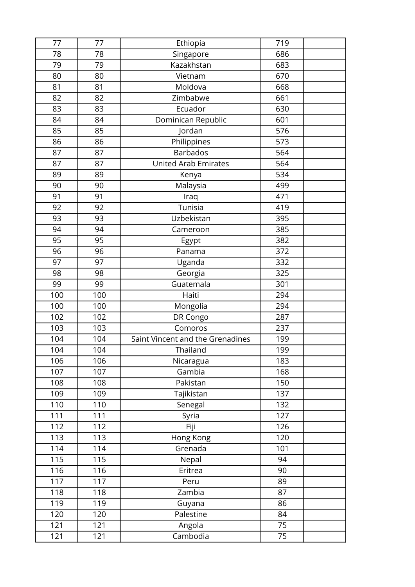| 77  | 77  | Ethiopia                         | 719 |  |
|-----|-----|----------------------------------|-----|--|
| 78  | 78  | Singapore                        | 686 |  |
| 79  | 79  | <b>Kazakhstan</b>                | 683 |  |
| 80  | 80  | Vietnam                          | 670 |  |
| 81  | 81  | Moldova                          | 668 |  |
| 82  | 82  | Zimbabwe                         | 661 |  |
| 83  | 83  | Ecuador                          | 630 |  |
| 84  | 84  | Dominican Republic               | 601 |  |
| 85  | 85  | Jordan                           | 576 |  |
| 86  | 86  | Philippines                      | 573 |  |
| 87  | 87  | <b>Barbados</b>                  | 564 |  |
| 87  | 87  | <b>United Arab Emirates</b>      | 564 |  |
| 89  | 89  | Kenya                            | 534 |  |
| 90  | 90  | Malaysia                         | 499 |  |
| 91  | 91  | Iraq                             | 471 |  |
| 92  | 92  | Tunisia                          | 419 |  |
| 93  | 93  | Uzbekistan                       | 395 |  |
| 94  | 94  | Cameroon                         | 385 |  |
| 95  | 95  | Egypt                            | 382 |  |
| 96  | 96  | Panama                           | 372 |  |
| 97  | 97  | Uganda                           | 332 |  |
| 98  | 98  | Georgia                          | 325 |  |
| 99  | 99  | Guatemala                        | 301 |  |
| 100 | 100 | Haiti                            | 294 |  |
| 100 | 100 | Mongolia                         | 294 |  |
| 102 | 102 | DR Congo                         | 287 |  |
| 103 | 103 | Comoros                          | 237 |  |
| 104 | 104 | Saint Vincent and the Grenadines | 199 |  |
| 104 | 104 | Thailand                         | 199 |  |
| 106 | 106 | Nicaragua                        | 183 |  |
| 107 | 107 | Gambia                           | 168 |  |
| 108 | 108 | Pakistan                         | 150 |  |
| 109 | 109 | Tajikistan                       | 137 |  |
| 110 | 110 | Senegal                          | 132 |  |
| 111 | 111 | Syria                            | 127 |  |
| 112 | 112 | Fiji                             | 126 |  |
| 113 | 113 | Hong Kong                        | 120 |  |
| 114 | 114 | Grenada                          | 101 |  |
| 115 | 115 | Nepal                            | 94  |  |
| 116 | 116 | Eritrea                          | 90  |  |
| 117 | 117 | Peru                             | 89  |  |
| 118 | 118 | Zambia                           | 87  |  |
| 119 | 119 | Guyana                           | 86  |  |
| 120 | 120 | Palestine                        | 84  |  |
| 121 | 121 | Angola                           | 75  |  |
| 121 | 121 | Cambodia                         | 75  |  |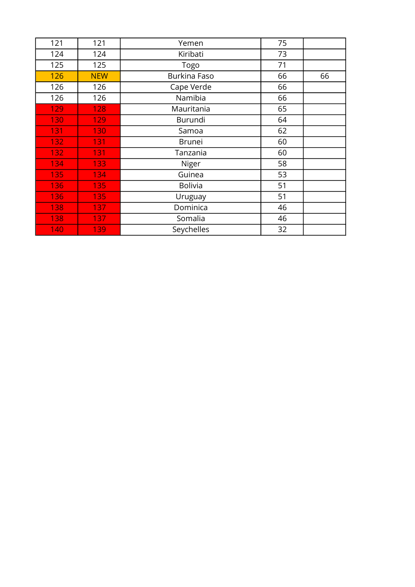| 121 | 121              | Yemen               | 75 |    |
|-----|------------------|---------------------|----|----|
| 124 | 124              | Kiribati            | 73 |    |
| 125 | 125              | Togo                | 71 |    |
| 126 | <b>NEW</b>       | <b>Burkina Faso</b> | 66 | 66 |
| 126 | 126              | Cape Verde          | 66 |    |
| 126 | 126              | Namibia             | 66 |    |
| 129 | 128              | Mauritania          | 65 |    |
| 130 | 129              | Burundi             | 64 |    |
| 131 | 130              | Samoa               | 62 |    |
| 132 | 131              | <b>Brunei</b>       | 60 |    |
| 132 | 131              | Tanzania            | 60 |    |
| 134 | 133              | Niger               | 58 |    |
| 135 | 134              | Guinea              | 53 |    |
| 136 | 135              | <b>Bolivia</b>      | 51 |    |
| 136 | 135              | Uruguay             | 51 |    |
| 138 | 137              | Dominica            | 46 |    |
| 138 | 137 <sub>1</sub> | Somalia             | 46 |    |
| 140 | 139              | Seychelles          | 32 |    |